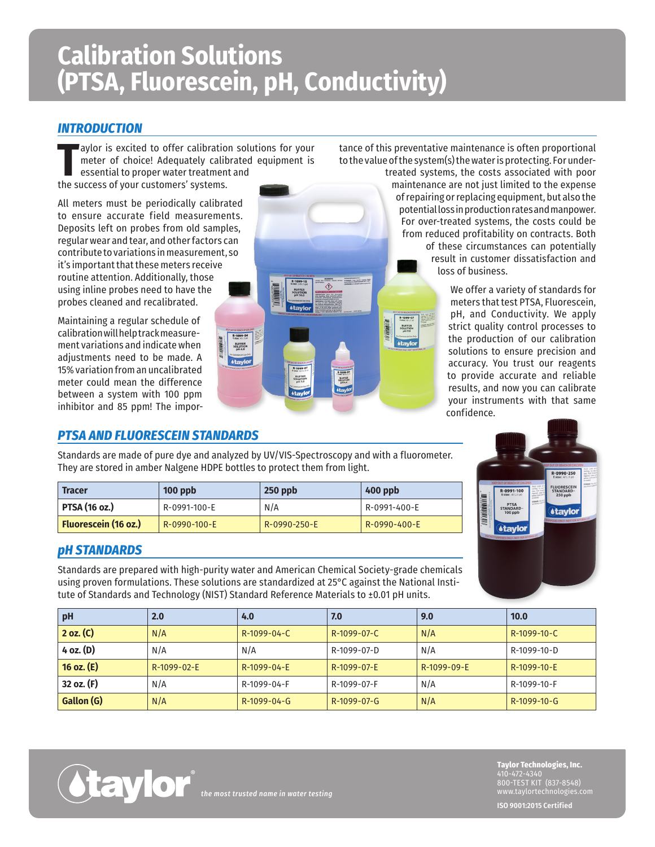# **Calibration Solutions (PTSA, Fluorescein, pH, Conductivity)**

## *INTRODUCTION*

The success of your customers' systems.<br>
The success of your customers' systems. aylor is excited to offer calibration solutions for your meter of choice! Adequately calibrated equipment is essential to proper water treatment and

All meters must be periodically calibrated to ensure accurate field measurements. Deposits left on probes from old samples, regular wear and tear, and other factors can contribute to variations in measurement, so it's important that these meters receive routine attention. Additionally, those using inline probes need to have the probes cleaned and recalibrated.

Maintaining a regular schedule of calibration will help track measurement variations and indicate when adjustments need to be made. A 15% variation from an uncalibrated meter could mean the difference between a system with 100 ppm inhibitor and 85 ppm! The impor-

## *PTSA AND FLUORESCEIN STANDARDS*

Standards are made of pure dye and analyzed by UV/VIS-Spectroscopy and with a fluorometer. They are stored in amber Nalgene HDPE bottles to protect them from light.

 $R - 1099 - 04$ 

BUFFER<br>SOLUTION<br>PH 4.0

BUFFER<br>SOLUTION<br>PH 10.0

R-1099-07

BUFFER<br>SOLUTION<br>PH 7.0

R-1099-04

| <b>Tracer</b>               | $100$ ppb    | $250$ ppb    | 400 ppb      |
|-----------------------------|--------------|--------------|--------------|
| <b>PTSA (16 oz.)</b>        | R-0991-100-E | N/A          | R-0991-400-E |
| <b>Fluorescein (16 oz.)</b> | R-0990-100-E | R-0990-250-E | R-0990-400-E |

#### *pH STANDARDS*

Standards are prepared with high-purity water and American Chemical Society-grade chemicals using proven formulations. These solutions are standardized at 25°C against the National Institute of Standards and Technology (NIST) Standard Reference Materials to ±0.01 pH units.

| pH           | 2.0         | 4.0           | 7.0           | 9.0         | 10.0          |  |  |
|--------------|-------------|---------------|---------------|-------------|---------------|--|--|
| 2 oz. (C)    | N/A         | R-1099-04-C   | R-1099-07-C   | N/A         | R-1099-10-C   |  |  |
| 4 oz. (D)    | N/A         | N/A           | R-1099-07-D   | N/A         | R-1099-10-D   |  |  |
| 16 oz. $(E)$ | R-1099-02-E | R-1099-04-E   | R-1099-07-E   | R-1099-09-E | R-1099-10-E   |  |  |
| 32 oz. (F)   | N/A         | R-1099-04-F   | R-1099-07-F   | N/A         | R-1099-10-F   |  |  |
| Gallon (G)   | N/A         | $R-1099-04-G$ | $R-1099-07-G$ | N/A         | $R-1099-10-G$ |  |  |



*the most trusted name in water testing*

tance of this preventative maintenance is often proportional to the value of the system(s) the water is protecting. For under-

> R-1099-07 **BUFFER**<br>SOLUTION<br>pH 7.0

**Atavio** 

treated systems, the costs associated with poor maintenance are not just limited to the expense of repairing or replacing equipment, but also the potential loss in production rates and manpower. For over-treated systems, the costs could be from reduced profitability on contracts. Both of these circumstances can potentially result in customer dissatisfaction and loss of business.

> We offer a variety of standards for meters that test PTSA, Fluorescein, pH, and Conductivity. We apply strict quality control processes to the production of our calibration solutions to ensure precision and accuracy. You trust our reagents to provide accurate and reliable results, and now you can calibrate your instruments with that same confidence.



**Taylor Technologies, Inc.** 410-472-4340 800-TEST KIT (837-8548) www.taylortechnologies.com

**ISO 9001:2015 Certified**